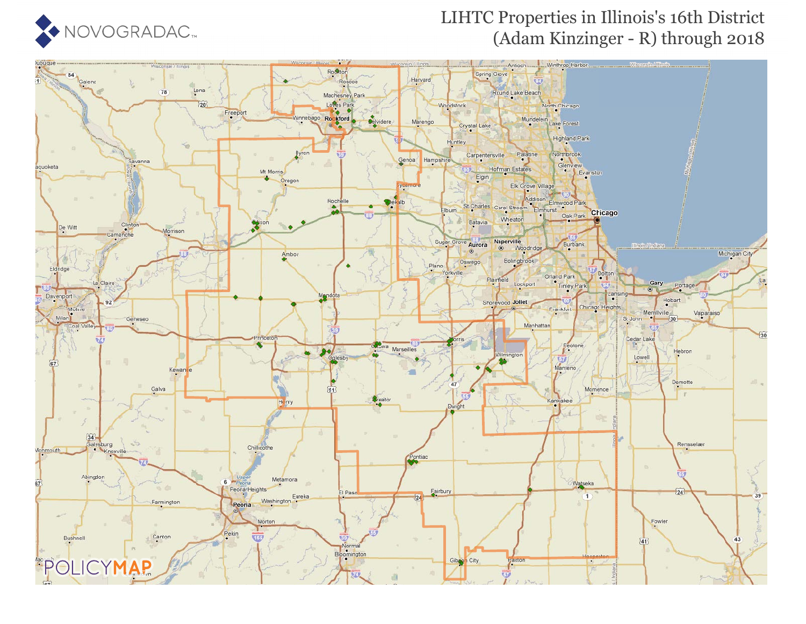

### LIHTC Properties in Illinois's 16th District (Adam Kinzinger - R) through 2018

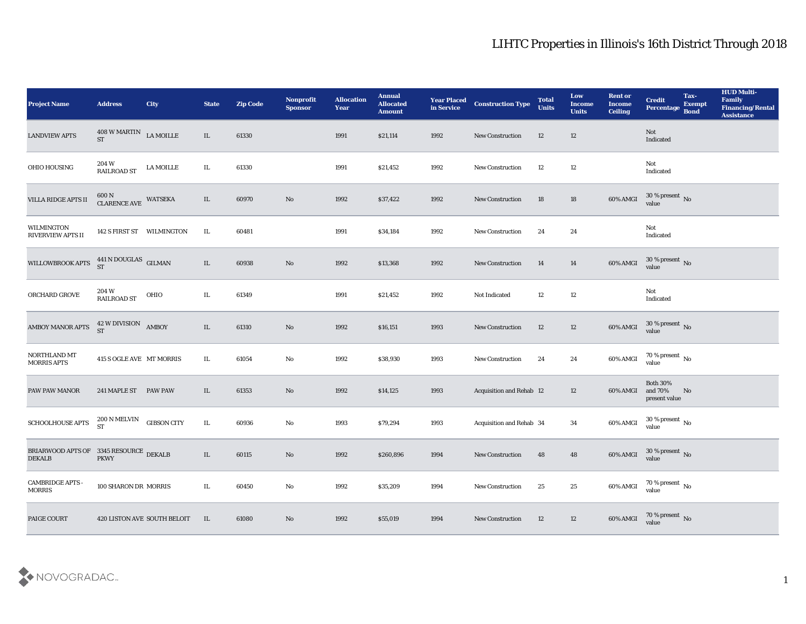| <b>Project Name</b>                                     | <b>Address</b>                        | City                        | <b>State</b> | <b>Zip Code</b> | Nonprofit<br><b>Sponsor</b> | <b>Allocation</b><br><b>Year</b> | <b>Annual</b><br><b>Allocated</b><br><b>Amount</b> | <b>Year Placed<br/>in Service</b> | <b>Construction Type</b> | <b>Total</b><br><b>Units</b> | Low<br><b>Income</b><br><b>Units</b> | <b>Rent or</b><br><b>Income</b><br><b>Ceiling</b> | <b>Credit</b><br>Percentage Bond            | Tax-<br><b>Exempt</b> | <b>HUD Multi-</b><br>Family<br><b>Financing/Rental</b><br><b>Assistance</b> |
|---------------------------------------------------------|---------------------------------------|-----------------------------|--------------|-----------------|-----------------------------|----------------------------------|----------------------------------------------------|-----------------------------------|--------------------------|------------------------------|--------------------------------------|---------------------------------------------------|---------------------------------------------|-----------------------|-----------------------------------------------------------------------------|
| <b>LANDVIEW APTS</b>                                    | 408 W MARTIN LA MOILLE<br><b>ST</b>   |                             | $\rm IL$     | 61330           |                             | 1991                             | \$21,114                                           | 1992                              | New Construction         | 12                           | 12                                   |                                                   | Not<br>Indicated                            |                       |                                                                             |
| OHIO HOUSING                                            | 204 W<br>$\operatorname{RAILROAD}$ ST | LA MOILLE                   | IL           | 61330           |                             | 1991                             | \$21,452                                           | 1992                              | New Construction         | 12                           | 12                                   |                                                   | Not<br>Indicated                            |                       |                                                                             |
| VILLA RIDGE APTS II                                     | 600 N<br><b>CLARENCE AVE</b>          | WATSEKA                     | IL           | 60970           | $\rm\thinspace No$          | 1992                             | \$37,422                                           | 1992                              | New Construction         | 18                           | 18                                   | 60% AMGI                                          | $30\,\%$ present $\,$ No value              |                       |                                                                             |
| <b>WILMINGTON</b><br><b>RIVERVIEW APTS II</b>           |                                       | 142 S FIRST ST WILMINGTON   | IL           | 60481           |                             | 1991                             | \$34,184                                           | 1992                              | New Construction         | 24                           | 24                                   |                                                   | Not<br>$\operatorname{Indicated}$           |                       |                                                                             |
| WILLOWBROOK APTS                                        | $441$ N DOUGLAS GILMAN ST             |                             | IL           | 60938           | $\rm\thinspace No$          | 1992                             | \$13,368                                           | 1992                              | New Construction         | 14                           | 14                                   | 60% AMGI                                          | $30\,\%$ present $\,$ No value              |                       |                                                                             |
| ORCHARD GROVE                                           | 204 W<br>RAILROAD ST                  | OHIO                        | IL           | 61349           |                             | 1991                             | \$21,452                                           | 1992                              | Not Indicated            | 12                           | 12                                   |                                                   | Not<br>Indicated                            |                       |                                                                             |
| <b>AMBOY MANOR APTS</b>                                 | 42 W DIVISION AMBOY                   |                             | $\rm IL$     | 61310           | $\rm\thinspace No$          | 1992                             | \$16,151                                           | 1993                              | New Construction         | 12                           | 12                                   | 60% AMGI                                          | $30\,\%$ present $\,$ No value              |                       |                                                                             |
| NORTHLAND MT<br><b>MORRIS APTS</b>                      | 415 S OGLE AVE MT MORRIS              |                             | IL           | 61054           | $\rm\thinspace No$          | 1992                             | \$38,930                                           | 1993                              | New Construction         | 24                           | 24                                   | 60% AMGI                                          | $70\,\%$ present $\,$ No value              |                       |                                                                             |
| PAW PAW MANOR                                           | 241 MAPLE ST PAW PAW                  |                             | IL           | 61353           | No                          | 1992                             | \$14,125                                           | 1993                              | Acquisition and Rehab 12 |                              | 12                                   | 60% AMGI                                          | <b>Both 30%</b><br>and 70%<br>present value | No                    |                                                                             |
| SCHOOLHOUSE APTS                                        | 200 N MELVIN<br><b>ST</b>             | <b>GIBSON CITY</b>          | IL           | 60936           | No                          | 1993                             | \$79,294                                           | 1993                              | Acquisition and Rehab 34 |                              | 34                                   | 60% AMGI                                          | $30\,\%$ present $\,$ No value              |                       |                                                                             |
| BRIARWOOD APTS OF 3345 RESOURCE DEKALB<br><b>DEKALB</b> | <b>PKWY</b>                           |                             | IL           | 60115           | No                          | 1992                             | \$260,896                                          | 1994                              | <b>New Construction</b>  | 48                           | 48                                   | 60% AMGI                                          | $30\,\%$ present $\,$ No value              |                       |                                                                             |
| <b>CAMBRIDGE APTS -</b><br><b>MORRIS</b>                | 100 SHARON DR MORRIS                  |                             | IL.          | 60450           | $\rm\thinspace No$          | 1992                             | \$35,209                                           | 1994                              | <b>New Construction</b>  | 25                           | $25\,$                               | 60% AMGI                                          | 70 % present $\,$ No $\,$<br>value          |                       |                                                                             |
| PAIGE COURT                                             |                                       | 420 LISTON AVE SOUTH BELOIT | IL           | 61080           | $\rm\thinspace No$          | 1992                             | \$55,019                                           | 1994                              | New Construction         | 12                           | 12                                   | 60% AMGI                                          | 70 % present $\sqrt{\ }$ No<br>value        |                       |                                                                             |

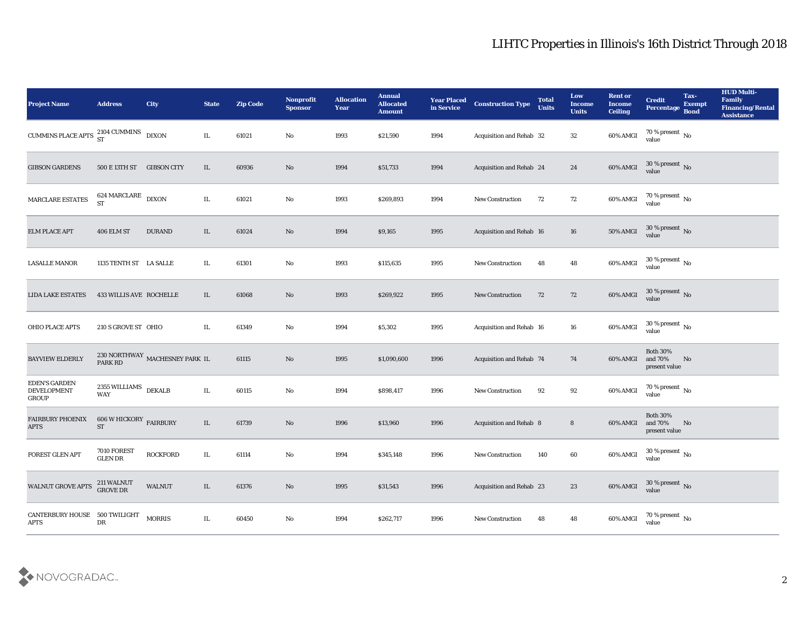| <b>Project Name</b>                                 | <b>Address</b>                              | <b>City</b>                               | <b>State</b> | <b>Zip Code</b> | Nonprofit<br><b>Sponsor</b> | <b>Allocation</b><br><b>Year</b> | <b>Annual</b><br><b>Allocated</b><br><b>Amount</b> | <b>Year Placed</b><br>in Service | <b>Construction Type</b>        | <b>Total</b><br><b>Units</b> | Low<br><b>Income</b><br><b>Units</b> | <b>Rent or</b><br><b>Income</b><br><b>Ceiling</b> | <b>Credit</b><br>Percentage                 | Tax-<br><b>Exempt</b><br><b>Bond</b> | <b>HUD Multi-</b><br>Family<br><b>Financing/Rental</b><br><b>Assistance</b> |
|-----------------------------------------------------|---------------------------------------------|-------------------------------------------|--------------|-----------------|-----------------------------|----------------------------------|----------------------------------------------------|----------------------------------|---------------------------------|------------------------------|--------------------------------------|---------------------------------------------------|---------------------------------------------|--------------------------------------|-----------------------------------------------------------------------------|
| CUMMINS PLACE APTS $^{2104}_{ST}$ CUMMINS DIXON     |                                             |                                           | IL           | 61021           | No                          | 1993                             | \$21,590                                           | 1994                             | Acquisition and Rehab 32        |                              | 32                                   | 60% AMGI                                          | $70\,\%$ present $\,$ No value              |                                      |                                                                             |
| <b>GIBSON GARDENS</b>                               | 500 E 13TH ST                               | <b>GIBSON CITY</b>                        | IL           | 60936           | No                          | 1994                             | \$51,733                                           | 1994                             | Acquisition and Rehab 24        |                              | 24                                   | 60% AMGI                                          | $30\,\%$ present $\,$ No value              |                                      |                                                                             |
| MARCLARE ESTATES                                    | $624\,\mathrm{MARCLARE}$ DIXON<br><b>ST</b> |                                           | IL           | 61021           | No                          | 1993                             | \$269,893                                          | 1994                             | <b>New Construction</b>         | 72                           | 72                                   | 60% AMGI                                          | $70\,\%$ present $\,$ No value              |                                      |                                                                             |
| <b>ELM PLACE APT</b>                                | 406 ELM ST                                  | <b>DURAND</b>                             | $\rm IL$     | 61024           | No                          | 1994                             | \$9,165                                            | 1995                             | Acquisition and Rehab 16        |                              | 16                                   | 50% AMGI                                          | $30\,\%$ present $\,$ No value              |                                      |                                                                             |
| <b>LASALLE MANOR</b>                                | 1135 TENTH ST LA SALLE                      |                                           | IL           | 61301           | No                          | 1993                             | \$115,635                                          | 1995                             | <b>New Construction</b>         | 48                           | 48                                   | 60% AMGI                                          | $30\,\%$ present $\,$ No value              |                                      |                                                                             |
| <b>LIDA LAKE ESTATES</b>                            | 433 WILLIS AVE ROCHELLE                     |                                           | IL           | 61068           | No                          | 1993                             | \$269,922                                          | 1995                             | <b>New Construction</b>         | 72                           | 72                                   | 60% AMGI                                          | $30\,\%$ present $\,$ No value              |                                      |                                                                             |
| <b>OHIO PLACE APTS</b>                              | 210 S GROVE ST OHIO                         |                                           | IL           | 61349           | No                          | 1994                             | \$5,302                                            | 1995                             | Acquisition and Rehab 16        |                              | 16                                   | 60% AMGI                                          | $30\,\%$ present $\,$ No value              |                                      |                                                                             |
| <b>BAYVIEW ELDERLY</b>                              | <b>PARK RD</b>                              | $230\, \mbox{NORTHWAY}$ MACHESNEY PARK IL |              | 61115           | No                          | 1995                             | \$1,090,600                                        | 1996                             | <b>Acquisition and Rehab 74</b> |                              | 74                                   | 60% AMGI                                          | <b>Both 30%</b><br>and 70%<br>present value | No                                   |                                                                             |
| <b>EDEN'S GARDEN</b><br><b>DEVELOPMENT</b><br>GROUP | 2355 WILLIAMS<br>WAY                        | <b>DEKALB</b>                             | IL           | 60115           | No                          | 1994                             | \$898,417                                          | 1996                             | New Construction                | 92                           | 92                                   | 60% AMGI                                          | $70\,\%$ present $\,$ No value              |                                      |                                                                             |
| <b>FAIRBURY PHOENIX</b><br><b>APTS</b>              | $606$ W HICKORY $\,$ FAIRBURY<br><b>ST</b>  |                                           | $\rm IL$     | 61739           | No                          | 1996                             | \$13,960                                           | 1996                             | Acquisition and Rehab 8         |                              | 8                                    | 60% AMGI                                          | <b>Both 30%</b><br>and 70%<br>present value | No                                   |                                                                             |
| <b>FOREST GLEN APT</b>                              | 7010 FOREST<br><b>GLEN DR</b>               | <b>ROCKFORD</b>                           | IL           | 61114           | No                          | 1994                             | \$345,148                                          | 1996                             | <b>New Construction</b>         | 140                          | 60                                   | 60% AMGI                                          | $30\,\%$ present $\,$ No $\,$<br>value      |                                      |                                                                             |
| WALNUT GROVE APTS                                   | 211 WALNUT<br>GROVE DR                      | WALNUT                                    | IL           | 61376           | $\rm\thinspace No$          | 1995                             | \$31,543                                           | 1996                             | Acquisition and Rehab 23        |                              | 23                                   | 60% AMGI                                          | $30\,\%$ present $\,$ No value              |                                      |                                                                             |
| <b>CANTERBURY HOUSE</b><br>$\rm APTS$               | 500 TWILIGHT<br>${\rm DR}$                  | <b>MORRIS</b>                             | IL           | 60450           | $\mathbf {No}$              | 1994                             | \$262,717                                          | 1996                             | New Construction                | 48                           | 48                                   | 60% AMGI                                          | $70\,\%$ present $\,$ No value              |                                      |                                                                             |

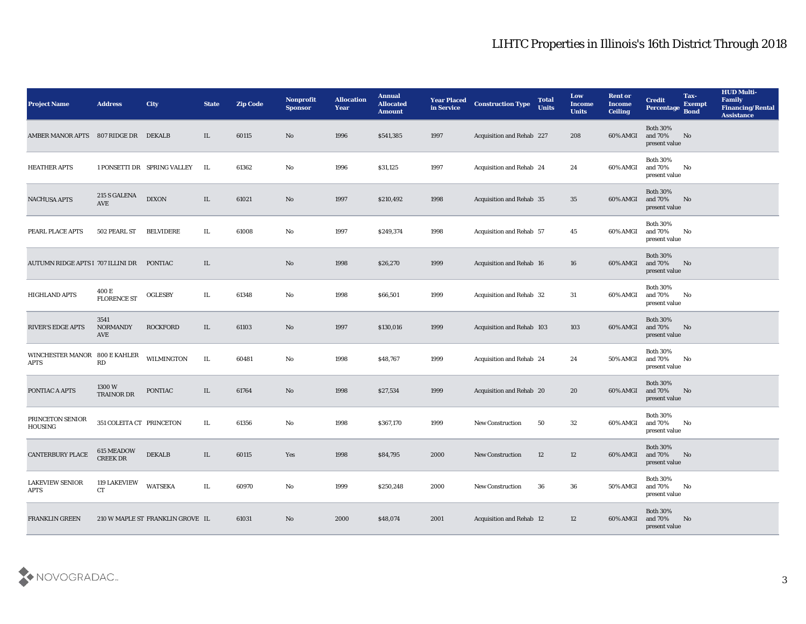| <b>Project Name</b>                          | <b>Address</b>                 | <b>City</b>                      | <b>State</b> | <b>Zip Code</b> | Nonprofit<br><b>Sponsor</b> | <b>Allocation</b><br>Year | <b>Annual</b><br><b>Allocated</b><br><b>Amount</b> | <b>Year Placed</b><br>in Service | <b>Construction Type</b>        | <b>Total</b><br><b>Units</b> | Low<br><b>Income</b><br><b>Units</b> | <b>Rent or</b><br><b>Income</b><br><b>Ceiling</b> | <b>Credit</b><br><b>Percentage</b>             | Tax-<br><b>Exempt</b><br><b>Bond</b> | <b>HUD Multi-</b><br>Family<br><b>Financing/Rental</b><br><b>Assistance</b> |
|----------------------------------------------|--------------------------------|----------------------------------|--------------|-----------------|-----------------------------|---------------------------|----------------------------------------------------|----------------------------------|---------------------------------|------------------------------|--------------------------------------|---------------------------------------------------|------------------------------------------------|--------------------------------------|-----------------------------------------------------------------------------|
| AMBER MANOR APTS 807 RIDGE DR DEKALB         |                                |                                  | IL           | 60115           | No                          | 1996                      | \$541,385                                          | 1997                             | Acquisition and Rehab 227       |                              | 208                                  | 60% AMGI                                          | <b>Both 30%</b><br>and 70%<br>present value    | No                                   |                                                                             |
| <b>HEATHER APTS</b>                          |                                | 1 PONSETTI DR SPRING VALLEY      | IL           | 61362           | No                          | 1996                      | \$31,125                                           | 1997                             | <b>Acquisition and Rehab 24</b> |                              | 24                                   | 60% AMGI                                          | <b>Both 30%</b><br>and 70%<br>present value    | No                                   |                                                                             |
| <b>NACHUSA APTS</b>                          | 215 S GALENA<br>AVE            | <b>DIXON</b>                     | IL           | 61021           | No                          | 1997                      | \$210,492                                          | 1998                             | Acquisition and Rehab 35        |                              | 35                                   | 60% AMGI                                          | <b>Both 30%</b><br>and 70%<br>present value    | No                                   |                                                                             |
| PEARL PLACE APTS                             | 502 PEARL ST                   | <b>BELVIDERE</b>                 | IL           | 61008           | No                          | 1997                      | \$249,374                                          | 1998                             | Acquisition and Rehab 57        |                              | 45                                   | 60% AMGI                                          | <b>Both 30%</b><br>and 70%<br>present value    | No                                   |                                                                             |
| AUTUMN RIDGE APTS I 707 ILLINI DR            |                                | <b>PONTIAC</b>                   | IL           |                 | No                          | 1998                      | \$26,270                                           | 1999                             | Acquisition and Rehab 16        |                              | 16                                   | 60% AMGI                                          | <b>Both 30%</b><br>and 70%<br>present value    | No                                   |                                                                             |
| <b>HIGHLAND APTS</b>                         | 400 E<br><b>FLORENCE ST</b>    | <b>OGLESBY</b>                   | IL           | 61348           | No                          | 1998                      | \$66,501                                           | 1999                             | Acquisition and Rehab 32        |                              | 31                                   | 60% AMGI                                          | <b>Both 30%</b><br>and 70%<br>present value    | No                                   |                                                                             |
| <b>RIVER'S EDGE APTS</b>                     | 3541<br><b>NORMANDY</b><br>AVE | <b>ROCKFORD</b>                  | IL           | 61103           | No                          | 1997                      | \$130,016                                          | 1999                             | Acquisition and Rehab 103       |                              | 103                                  | 60% AMGI                                          | <b>Both 30%</b><br>and 70%<br>present value    | No                                   |                                                                             |
| WINCHESTER MANOR 800 E KAHLER<br><b>APTS</b> | <b>RD</b>                      | WILMINGTON                       | IL           | 60481           | No                          | 1998                      | \$48,767                                           | 1999                             | <b>Acquisition and Rehab 24</b> |                              | 24                                   | 50% AMGI                                          | <b>Both 30%</b><br>and 70%<br>present value    | No                                   |                                                                             |
| PONTIAC A APTS                               | 1300 W<br><b>TRAINOR DR</b>    | <b>PONTIAC</b>                   | IL           | 61764           | No                          | 1998                      | \$27,534                                           | 1999                             | Acquisition and Rehab 20        |                              | 20                                   | 60% AMGI                                          | <b>Both 30%</b><br>and 70%<br>present value    | No                                   |                                                                             |
| PRINCETON SENIOR<br>HOUSING                  | 351 COLEITA CT PRINCETON       |                                  | IL           | 61356           | No                          | 1998                      | \$367,170                                          | 1999                             | <b>New Construction</b>         | 50                           | 32                                   | 60% AMGI                                          | <b>Both 30%</b><br>and 70%<br>present value    | No                                   |                                                                             |
| <b>CANTERBURY PLACE</b>                      | 615 MEADOW<br><b>CREEK DR</b>  | <b>DEKALB</b>                    | IL           | 60115           | Yes                         | 1998                      | \$84,795                                           | 2000                             | <b>New Construction</b>         | 12                           | 12                                   | 60% AMGI                                          | <b>Both 30%</b><br>and 70%<br>present value    | No                                   |                                                                             |
| <b>LAKEVIEW SENIOR</b><br><b>APTS</b>        | 119 LAKEVIEW<br>CT             | <b>WATSEKA</b>                   | $\rm IL$     | 60970           | $\rm\thinspace No$          | 1999                      | \$250,248                                          | 2000                             | New Construction                | 36                           | 36                                   | <b>50% AMGI</b>                                   | <b>Both 30%</b><br>and $70\%$<br>present value | No                                   |                                                                             |
| <b>FRANKLIN GREEN</b>                        |                                | 210 W MAPLE ST FRANKLIN GROVE IL |              | 61031           | $\rm\thinspace No$          | 2000                      | \$48,074                                           | 2001                             | Acquisition and Rehab 12        |                              | 12                                   | 60% AMGI                                          | <b>Both 30%</b><br>and 70%<br>present value    | No                                   |                                                                             |

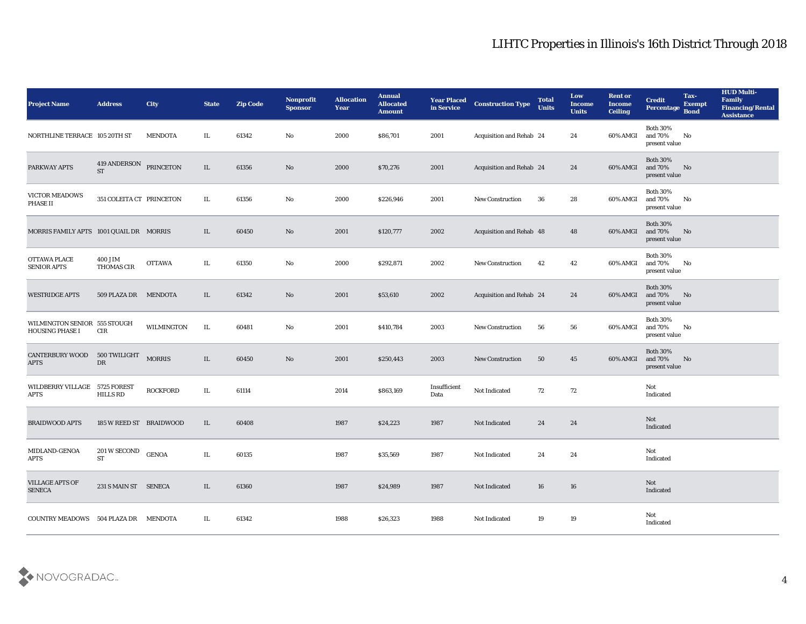| <b>Project Name</b>                                    | <b>Address</b>                      | <b>City</b>     | <b>State</b> | <b>Zip Code</b> | Nonprofit<br><b>Sponsor</b> | <b>Allocation</b><br><b>Year</b> | <b>Annual</b><br><b>Allocated</b><br><b>Amount</b> | <b>Year Placed</b><br>in Service | <b>Construction Type</b> | <b>Total</b><br><b>Units</b> | Low<br><b>Income</b><br><b>Units</b> | <b>Rent or</b><br>Income<br><b>Ceiling</b> | <b>Credit</b><br>Percentage                 | Tax-<br><b>Exempt</b><br><b>Bond</b> | <b>HUD Multi-</b><br>Family<br><b>Financing/Rental</b><br><b>Assistance</b> |
|--------------------------------------------------------|-------------------------------------|-----------------|--------------|-----------------|-----------------------------|----------------------------------|----------------------------------------------------|----------------------------------|--------------------------|------------------------------|--------------------------------------|--------------------------------------------|---------------------------------------------|--------------------------------------|-----------------------------------------------------------------------------|
| NORTHLINE TERRACE 105 20TH ST                          |                                     | <b>MENDOTA</b>  | IL           | 61342           | No                          | 2000                             | \$86,701                                           | 2001                             | Acquisition and Rehab 24 |                              | 24                                   | 60% AMGI                                   | <b>Both 30%</b><br>and 70%<br>present value | No                                   |                                                                             |
| PARKWAY APTS                                           | 419 ANDERSON PRINCETON<br><b>ST</b> |                 | IL           | 61356           | No                          | 2000                             | \$70,276                                           | 2001                             | Acquisition and Rehab 24 |                              | 24                                   | 60% AMGI                                   | <b>Both 30%</b><br>and 70%<br>present value | No                                   |                                                                             |
| VICTOR MEADOWS<br>PHASE II                             | 351 COLEITA CT PRINCETON            |                 | IL           | 61356           | No                          | 2000                             | \$226,946                                          | 2001                             | <b>New Construction</b>  | 36                           | 28                                   | 60% AMGI                                   | <b>Both 30%</b><br>and 70%<br>present value | No                                   |                                                                             |
| MORRIS FAMILY APTS 1001 QUAIL DR MORRIS                |                                     |                 | IL           | 60450           | No                          | 2001                             | \$120,777                                          | 2002                             | Acquisition and Rehab 48 |                              | 48                                   | 60% AMGI                                   | <b>Both 30%</b><br>and 70%<br>present value | No                                   |                                                                             |
| <b>OTTAWA PLACE</b><br><b>SENIOR APTS</b>              | 400 JIM<br>THOMAS CIR               | <b>OTTAWA</b>   | IL           | 61350           | No                          | 2000                             | \$292,871                                          | 2002                             | <b>New Construction</b>  | 42                           | 42                                   | 60% AMGI                                   | <b>Both 30%</b><br>and 70%<br>present value | No                                   |                                                                             |
| <b>WESTRIDGE APTS</b>                                  | 509 PLAZA DR MENDOTA                |                 | IL           | 61342           | No                          | 2001                             | \$53,610                                           | 2002                             | Acquisition and Rehab 24 |                              | 24                                   | 60% AMGI                                   | <b>Both 30%</b><br>and 70%<br>present value | No                                   |                                                                             |
| WILMINGTON SENIOR 555 STOUGH<br><b>HOUSING PHASE I</b> | CIR                                 | WILMINGTON      | IL           | 60481           | No                          | 2001                             | \$410,784                                          | 2003                             | <b>New Construction</b>  | 56                           | 56                                   | 60% AMGI                                   | <b>Both 30%</b><br>and 70%<br>present value | No                                   |                                                                             |
| <b>CANTERBURY WOOD</b><br><b>APTS</b>                  | 500 TWILIGHT<br>DR                  | <b>MORRIS</b>   | IL           | 60450           | No                          | 2001                             | \$250,443                                          | 2003                             | <b>New Construction</b>  | 50                           | 45                                   | 60% AMGI                                   | <b>Both 30%</b><br>and 70%<br>present value | No                                   |                                                                             |
| WILDBERRY VILLAGE 5725 FOREST<br>APTS                  | <b>HILLS RD</b>                     | <b>ROCKFORD</b> | IL           | 61114           |                             | 2014                             | \$863,169                                          | Insufficient<br>Data             | Not Indicated            | 72                           | 72                                   |                                            | Not<br>Indicated                            |                                      |                                                                             |
| <b>BRAIDWOOD APTS</b>                                  | 185 W REED ST BRAIDWOOD             |                 | IL           | 60408           |                             | 1987                             | \$24,223                                           | 1987                             | Not Indicated            | 24                           | 24                                   |                                            | Not<br>Indicated                            |                                      |                                                                             |
| MIDLAND-GENOA<br><b>APTS</b>                           | 201 W SECOND<br><b>ST</b>           | <b>GENOA</b>    | IL           | 60135           |                             | 1987                             | \$35,569                                           | 1987                             | <b>Not Indicated</b>     | 24                           | 24                                   |                                            | Not<br>Indicated                            |                                      |                                                                             |
| <b>VILLAGE APTS OF</b><br><b>SENECA</b>                | 231 S MAIN ST SENECA                |                 | IL           | 61360           |                             | 1987                             | \$24,989                                           | 1987                             | Not Indicated            | 16                           | ${\bf 16}$                           |                                            | Not<br>Indicated                            |                                      |                                                                             |
| COUNTRY MEADOWS 504 PLAZA DR MENDOTA                   |                                     |                 | IL           | 61342           |                             | 1988                             | \$26,323                                           | 1988                             | Not Indicated            | 19                           | 19                                   |                                            | Not<br>Indicated                            |                                      |                                                                             |

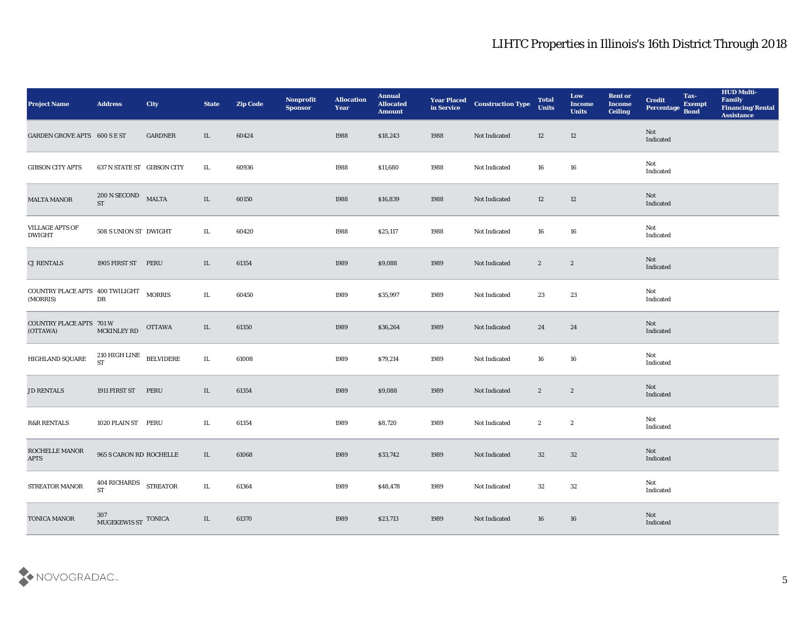| <b>Project Name</b>                                | <b>Address</b>                                 | <b>City</b>    | <b>State</b> | <b>Zip Code</b> | Nonprofit<br><b>Sponsor</b> | <b>Allocation</b><br>Year | <b>Annual</b><br><b>Allocated</b><br><b>Amount</b> | <b>Year Placed<br/>in Service</b> | <b>Construction Type</b> | <b>Total</b><br><b>Units</b> | Low<br><b>Income</b><br><b>Units</b> | <b>Rent or</b><br><b>Income</b><br><b>Ceiling</b> | <b>Credit</b><br>Percentage Bond | Tax-<br><b>Exempt</b> | <b>HUD Multi-</b><br>Family<br><b>Financing/Rental</b><br><b>Assistance</b> |
|----------------------------------------------------|------------------------------------------------|----------------|--------------|-----------------|-----------------------------|---------------------------|----------------------------------------------------|-----------------------------------|--------------------------|------------------------------|--------------------------------------|---------------------------------------------------|----------------------------------|-----------------------|-----------------------------------------------------------------------------|
| GARDEN GROVE APTS 600 S E ST                       |                                                | <b>GARDNER</b> | IL           | 60424           |                             | 1988                      | \$18,243                                           | 1988                              | Not Indicated            | 12                           | 12                                   |                                                   | Not<br>Indicated                 |                       |                                                                             |
| <b>GIBSON CITY APTS</b>                            | 637 N STATE ST GIBSON CITY                     |                | IL           | 60936           |                             | 1988                      | \$11,680                                           | 1988                              | Not Indicated            | 16                           | 16                                   |                                                   | Not<br>Indicated                 |                       |                                                                             |
| <b>MALTA MANOR</b>                                 | 200 N SECOND<br><b>ST</b>                      | <b>MALTA</b>   | $\rm IL$     | 60150           |                             | 1988                      | \$16,839                                           | 1988                              | Not Indicated            | 12                           | 12                                   |                                                   | <b>Not</b><br>Indicated          |                       |                                                                             |
| VILLAGE APTS OF<br><b>DWIGHT</b>                   | 508 S UNION ST DWIGHT                          |                | IL           | 60420           |                             | 1988                      | \$25,117                                           | 1988                              | Not Indicated            | 16                           | 16                                   |                                                   | Not<br>Indicated                 |                       |                                                                             |
| <b>CJ RENTALS</b>                                  | 1905 FIRST ST PERU                             |                | IL           | 61354           |                             | 1989                      | \$9,088                                            | 1989                              | Not Indicated            | $\mathbf{2}$                 | $\boldsymbol{2}$                     |                                                   | Not<br>Indicated                 |                       |                                                                             |
| COUNTRY PLACE APTS 400 TWILIGHT MORRIS<br>(MORRIS) | ${\rm DR}$                                     |                | IL           | 60450           |                             | 1989                      | \$35,997                                           | 1989                              | Not Indicated            | 23                           | 23                                   |                                                   | Not<br>Indicated                 |                       |                                                                             |
| <b>COUNTRY PLACE APTS 701 W</b><br>(OTTAWA)        | MCKINLEY RD                                    | <b>OTTAWA</b>  | IL           | 61350           |                             | 1989                      | \$36,264                                           | 1989                              | Not Indicated            | 24                           | 24                                   |                                                   | Not<br>Indicated                 |                       |                                                                             |
| HIGHLAND SQUARE                                    | $210$ HIGH LINE $\quad$ BELVIDERE<br><b>ST</b> |                | $\rm IL$     | 61008           |                             | 1989                      | \$79,214                                           | 1989                              | Not Indicated            | 16                           | 16                                   |                                                   | Not<br>Indicated                 |                       |                                                                             |
| <b>JD RENTALS</b>                                  | 1911 FIRST ST                                  | PERU           | $\rm IL$     | 61354           |                             | 1989                      | \$9,088                                            | 1989                              | Not Indicated            | $\mathbf{2}$                 | $\boldsymbol{2}$                     |                                                   | Not<br>Indicated                 |                       |                                                                             |
| <b>R&amp;R RENTALS</b>                             | 1020 PLAIN ST PERU                             |                | IL           | 61354           |                             | 1989                      | \$8,720                                            | 1989                              | Not Indicated            | $\mathbf{2}$                 | $\boldsymbol{2}$                     |                                                   | Not<br>Indicated                 |                       |                                                                             |
| ROCHELLE MANOR<br><b>APTS</b>                      | 965 S CARON RD ROCHELLE                        |                | IL           | 61068           |                             | 1989                      | \$33,742                                           | 1989                              | Not Indicated            | 32                           | 32                                   |                                                   | Not<br>Indicated                 |                       |                                                                             |
| STREATOR MANOR                                     | 404 RICHARDS STREATOR<br><b>ST</b>             |                | $\rm IL$     | 61364           |                             | 1989                      | \$48,478                                           | 1989                              | Not Indicated            | 32                           | $32\phantom{.0}$                     |                                                   | Not<br>Indicated                 |                       |                                                                             |
| TONICA MANOR                                       | $307 \atop \text{MUGEKEWIS ST}$ TONICA         |                | $\;$ IL      | 61370           |                             | 1989                      | \$23,713                                           | 1989                              | Not Indicated            | $16\,$                       | 16                                   |                                                   | Not<br>Indicated                 |                       |                                                                             |

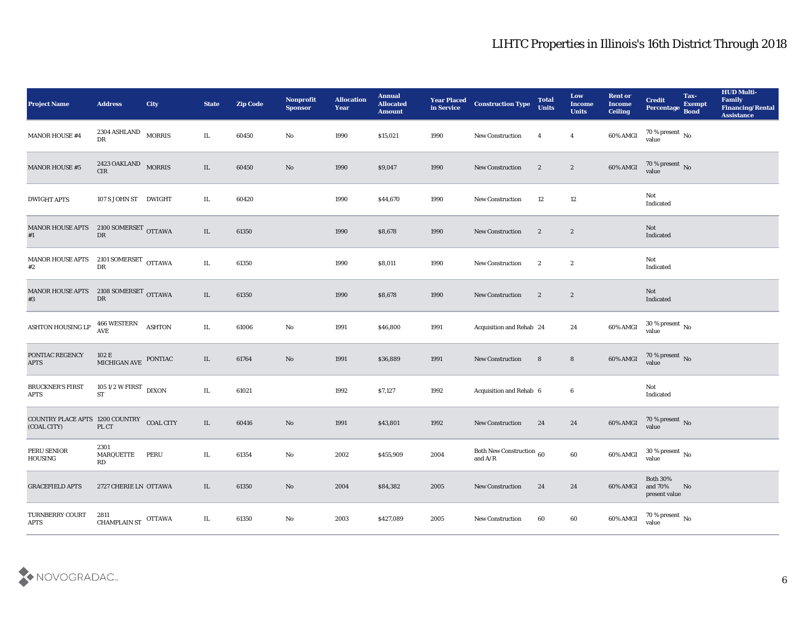| <b>Project Name</b>                                      | <b>Address</b>                                 | <b>City</b>   | <b>State</b> | <b>Zip Code</b> | Nonprofit<br><b>Sponsor</b> | <b>Allocation</b><br>Year | <b>Annual</b><br><b>Allocated</b><br><b>Amount</b> |      | <b>Year Placed Construction Type</b><br>in Service <b>Construction</b> Type                     | <b>Total</b><br><b>Units</b> | Low<br><b>Income</b><br><b>Units</b> | <b>Rent or</b><br><b>Income</b><br><b>Ceiling</b> | <b>Credit</b><br>Percentage Bond                          | Tax-<br><b>Exempt</b> | <b>HUD Multi-</b><br>Family<br><b>Financing/Rental</b><br><b>Assistance</b> |
|----------------------------------------------------------|------------------------------------------------|---------------|--------------|-----------------|-----------------------------|---------------------------|----------------------------------------------------|------|-------------------------------------------------------------------------------------------------|------------------------------|--------------------------------------|---------------------------------------------------|-----------------------------------------------------------|-----------------------|-----------------------------------------------------------------------------|
| MANOR HOUSE #4                                           | $2304$ ASHLAND $_{\,$ MORRIS<br>DR             |               | IL           | 60450           | No                          | 1990                      | \$15,021                                           | 1990 | <b>New Construction</b>                                                                         | $\overline{4}$               | $\overline{\mathbf{4}}$              | 60% AMGI                                          | $70\,\% \,present \over value$                            |                       |                                                                             |
| <b>MANOR HOUSE #5</b>                                    | 2423 OAKLAND MORRIS<br>CIR                     |               | IL           | 60450           | No                          | 1990                      | \$9,047                                            | 1990 | New Construction                                                                                | $\boldsymbol{2}$             | $\mathbf{2}$                         | 60% AMGI                                          | $70\,\%$ present $\,$ No value                            |                       |                                                                             |
| <b>DWIGHT APTS</b>                                       | 107 S JOHN ST DWIGHT                           |               | IL           | 60420           |                             | 1990                      | \$44,670                                           | 1990 | New Construction                                                                                | 12                           | 12                                   |                                                   | Not<br>Indicated                                          |                       |                                                                             |
| <b>MANOR HOUSE APTS</b><br>#1                            | 2100 SOMERSET OTTAWA<br>$\mathbf{D}\mathbf{R}$ |               | $\rm IL$     | 61350           |                             | 1990                      | \$8,678                                            | 1990 | <b>New Construction</b>                                                                         | $\boldsymbol{2}$             | $\boldsymbol{2}$                     |                                                   | Not<br>Indicated                                          |                       |                                                                             |
| <b>MANOR HOUSE APTS</b><br>#2                            | $2101$ SOMERSET $\,$ OTTAWA<br>${\rm DR}$      |               | $\rm IL$     | 61350           |                             | 1990                      | \$8,011                                            | 1990 | New Construction                                                                                | $\boldsymbol{2}$             | $\boldsymbol{2}$                     |                                                   | Not<br>Indicated                                          |                       |                                                                             |
| MANOR HOUSE APTS 2108 SOMERSET OTTAWA<br>#3              | DR                                             |               | IL           | 61350           |                             | 1990                      | \$8,678                                            | 1990 | New Construction                                                                                | $\boldsymbol{2}$             | $\mathbf{2}$                         |                                                   | Not<br>Indicated                                          |                       |                                                                             |
| ASHTON HOUSING LP                                        | 466 WESTERN<br><b>AVE</b>                      | <b>ASHTON</b> | IL.          | 61006           | No                          | 1991                      | \$46,800                                           | 1991 | Acquisition and Rehab 24                                                                        |                              | 24                                   | 60% AMGI                                          | $30\,\%$ present $\,$ No value                            |                       |                                                                             |
| PONTIAC REGENCY<br><b>APTS</b>                           | 102 E<br>MICHIGAN AVE PONTIAC                  |               | $\rm IL$     | 61764           | $\mathbf{N}\mathbf{o}$      | 1991                      | \$36,889                                           | 1991 | <b>New Construction</b>                                                                         | 8                            | $8\phantom{.}$                       | $60\%$ AMGI                                       | $70\,\%$ present $\,$ No value                            |                       |                                                                             |
| <b>BRUCKNER'S FIRST</b><br><b>APTS</b>                   | 105 1/2 W FIRST DIXON<br>ST                    |               | $\rm IL$     | 61021           |                             | 1992                      | \$7,127                                            | 1992 | Acquisition and Rehab 6                                                                         |                              | 6                                    |                                                   | Not<br>Indicated                                          |                       |                                                                             |
| COUNTRY PLACE APTS 1200 COUNTRY COAL CITY<br>(COAL CITY) | PL CT                                          |               | IL           | 60416           | No                          | 1991                      | \$43,801                                           | 1992 | <b>New Construction</b>                                                                         | 24                           | 24                                   | 60% AMGI                                          | $70$ % present $\,$ No $\,$ value                         |                       |                                                                             |
| PERU SENIOR<br>HOUSING                                   | 2301<br>MARQUETTE<br>RD                        | <b>PERU</b>   | IL           | 61354           | No                          | 2002                      | \$455,909                                          | 2004 | Both New Construction 60<br>and $\ensuremath{\mathrm{A}}\xspace/\ensuremath{\mathrm{R}}\xspace$ |                              | $60\,$                               | 60% AMGI                                          | $30\,\%$ present $\,$ No value                            |                       |                                                                             |
| <b>GRACEFIELD APTS</b>                                   | 2727 CHERIE LN OTTAWA                          |               | $\rm IL$     | 61350           | $\rm\thinspace No$          | 2004                      | \$84,382                                           | 2005 | <b>New Construction</b>                                                                         | 24                           | 24                                   | 60% AMGI                                          | <b>Both 30%</b><br>and $70\%$ $~$ No $~$<br>present value |                       |                                                                             |
| TURNBERRY COURT<br><b>APTS</b>                           | 2811<br>CHAMPLAIN ST OTTAWA                    |               | $\rm IL$     | 61350           | $\rm\, No$                  | 2003                      | \$427,089                                          | 2005 | New Construction                                                                                | 60                           | $60\,$                               | 60% AMGI                                          | $70\,\%$ present $\,$ No value                            |                       |                                                                             |

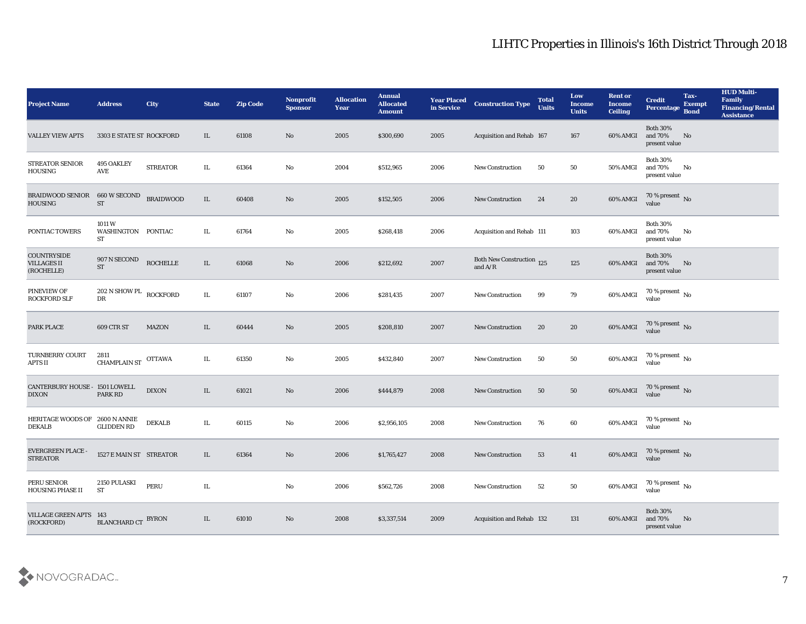| <b>Project Name</b>                                    | <b>Address</b>                    | City             | <b>State</b> | <b>Zip Code</b> | Nonprofit<br><b>Sponsor</b> | <b>Allocation</b><br><b>Year</b> | <b>Annual</b><br><b>Allocated</b><br><b>Amount</b> | <b>Year Placed</b><br>in Service | <b>Construction Type</b>                   | <b>Total</b><br><b>Units</b> | Low<br><b>Income</b><br><b>Units</b> | <b>Rent or</b><br><b>Income</b><br><b>Ceiling</b> | <b>Credit</b><br>Percentage                    | Tax-<br><b>Exempt</b><br><b>Bond</b> | <b>HUD Multi-</b><br>Family<br><b>Financing/Rental</b><br><b>Assistance</b> |
|--------------------------------------------------------|-----------------------------------|------------------|--------------|-----------------|-----------------------------|----------------------------------|----------------------------------------------------|----------------------------------|--------------------------------------------|------------------------------|--------------------------------------|---------------------------------------------------|------------------------------------------------|--------------------------------------|-----------------------------------------------------------------------------|
| <b>VALLEY VIEW APTS</b>                                | 3303 E STATE ST ROCKFORD          |                  | IL           | 61108           | No                          | 2005                             | \$300,690                                          | 2005                             | Acquisition and Rehab 167                  |                              | 167                                  | 60% AMGI                                          | <b>Both 30%</b><br>and 70%<br>present value    | No                                   |                                                                             |
| <b>STREATOR SENIOR</b><br>HOUSING                      | <b>495 OAKLEY</b><br>AVE          | <b>STREATOR</b>  | IL           | 61364           | No                          | 2004                             | \$512,965                                          | 2006                             | <b>New Construction</b>                    | 50                           | 50                                   | 50% AMGI                                          | <b>Both 30%</b><br>and 70%<br>present value    | No                                   |                                                                             |
| <b>BRAIDWOOD SENIOR</b><br><b>HOUSING</b>              | 660 W SECOND<br><b>ST</b>         | <b>BRAIDWOOD</b> | IL           | 60408           | No                          | 2005                             | \$152,505                                          | 2006                             | <b>New Construction</b>                    | 24                           | 20                                   | 60% AMGI                                          | $70\%$ present No<br>value                     |                                      |                                                                             |
| PONTIAC TOWERS                                         | 1011W<br>WASHINGTON PONTIAC<br>ST |                  | IL           | 61764           | No                          | 2005                             | \$268,418                                          | 2006                             | Acquisition and Rehab 111                  |                              | 103                                  | 60% AMGI                                          | <b>Both 30%</b><br>and $70\%$<br>present value | No                                   |                                                                             |
| <b>COUNTRYSIDE</b><br><b>VILLAGES II</b><br>(ROCHELLE) | 907 N SECOND<br><b>ST</b>         | <b>ROCHELLE</b>  | IL           | 61068           | No                          | 2006                             | \$212,692                                          | 2007                             | Both New Construction 125<br>and $\rm A/R$ |                              | 125                                  | 60% AMGI                                          | <b>Both 30%</b><br>and 70%<br>present value    | No                                   |                                                                             |
| PINEVIEW OF<br><b>ROCKFORD SLF</b>                     | 202 N SHOW PL ROCKFORD<br>DR      |                  | IL           | 61107           | No                          | 2006                             | \$281,435                                          | 2007                             | <b>New Construction</b>                    | 99                           | 79                                   | 60% AMGI                                          | 70 % present $\,$ No $\,$<br>value             |                                      |                                                                             |
| PARK PLACE                                             | 609 CTR ST                        | <b>MAZON</b>     | IL.          | 60444           | No                          | 2005                             | \$208,810                                          | 2007                             | <b>New Construction</b>                    | 20                           | 20                                   | 60% AMGI                                          | $70\,\%$ present $\,$ No value                 |                                      |                                                                             |
| <b>TURNBERRY COURT</b><br><b>APTS II</b>               | 2811<br><b>CHAMPLAIN ST</b>       | <b>OTTAWA</b>    | IL           | 61350           | No                          | 2005                             | \$432,840                                          | 2007                             | <b>New Construction</b>                    | 50                           | 50                                   | 60% AMGI                                          | 70 % present $\,$ No $\,$<br>value             |                                      |                                                                             |
| CANTERBURY HOUSE - 1501 LOWELL<br><b>DIXON</b>         | PARK RD                           | <b>DIXON</b>     | IL           | 61021           | No                          | 2006                             | \$444,879                                          | 2008                             | <b>New Construction</b>                    | 50                           | 50                                   | 60% AMGI                                          | $70$ % present $\,$ No value                   |                                      |                                                                             |
| HERITAGE WOODS OF 2600 N ANNIE<br><b>DEKALB</b>        | <b>GLIDDEN RD</b>                 | <b>DEKALB</b>    | IL           | 60115           | No                          | 2006                             | \$2,956,105                                        | 2008                             | New Construction                           | 76                           | 60                                   | 60% AMGI                                          | $70\,\%$ present $\,$ No value                 |                                      |                                                                             |
| <b>EVERGREEN PLACE -</b><br><b>STREATOR</b>            | 1527 E MAIN ST STREATOR           |                  | IL.          | 61364           | No                          | 2006                             | \$1,765,427                                        | 2008                             | <b>New Construction</b>                    | 53                           | 41                                   | 60% AMGI                                          | 70 % present No<br>value                       |                                      |                                                                             |
| PERU SENIOR<br>HOUSING PHASE II                        | 2150 PULASKI<br><b>ST</b>         | PERU             | $\rm IL$     |                 | $\mathbf {No}$              | 2006                             | \$562,726                                          | 2008                             | New Construction                           | 52                           | 50                                   | 60% AMGI                                          | $70\,\%$ present $\,$ No value                 |                                      |                                                                             |
| <b>VILLAGE GREEN APTS 143</b><br>(ROCKFORD)            | <b>BLANCHARD CT BYRON</b>         |                  | IL           | 61010           | $\rm\thinspace No$          | 2008                             | \$3,337,514                                        | 2009                             | Acquisition and Rehab 132                  |                              | 131                                  | 60% AMGI                                          | <b>Both 30%</b><br>and 70%<br>present value    | No                                   |                                                                             |

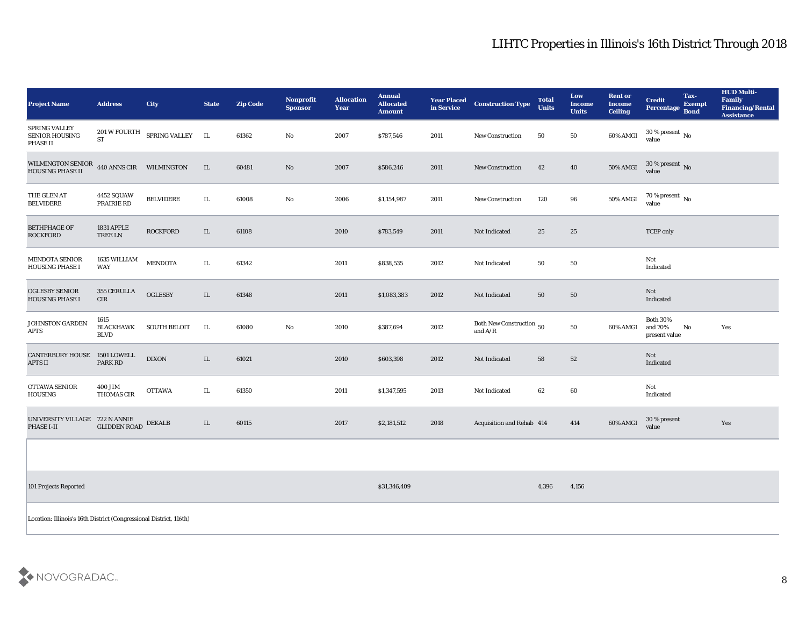| <b>Project Name</b>                                                  | <b>Address</b>                      | <b>City</b>                   | <b>State</b> | <b>Zip Code</b> | Nonprofit<br><b>Sponsor</b> | <b>Allocation</b><br><b>Year</b> | <b>Annual</b><br><b>Allocated</b><br><b>Amount</b> | <b>Year Placed</b><br>in Service | <b>Construction Type</b>              | <b>Total</b><br><b>Units</b> | Low<br><b>Income</b><br><b>Units</b> | <b>Rent or</b><br><b>Income</b><br><b>Ceiling</b> | <b>Credit</b><br>Percentage Bond            | Tax-<br><b>Exempt</b> | <b>HUD Multi-</b><br>Family<br><b>Financing/Rental</b><br><b>Assistance</b> |
|----------------------------------------------------------------------|-------------------------------------|-------------------------------|--------------|-----------------|-----------------------------|----------------------------------|----------------------------------------------------|----------------------------------|---------------------------------------|------------------------------|--------------------------------------|---------------------------------------------------|---------------------------------------------|-----------------------|-----------------------------------------------------------------------------|
| <b>SPRING VALLEY</b><br>SENIOR HOUSING<br>PHASE II                   | <b>ST</b>                           | 201 W FOURTH SPRING VALLEY IL |              | 61362           | No                          | 2007                             | \$787,546                                          | 2011                             | <b>New Construction</b>               | 50                           | 50                                   | 60% AMGI                                          | $30$ % present $\,$ No $\,$<br>value        |                       |                                                                             |
| WILMINGTON SENIOR $\,$ 440 ANNS CIR $\,$ WILMINGTON HOUSING PHASE II |                                     |                               | IL           | 60481           | No                          | 2007                             | \$586,246                                          | 2011                             | <b>New Construction</b>               | 42                           | 40                                   | 50% AMGI                                          | $30\,\%$ present $\,$ No value              |                       |                                                                             |
| THE GLEN AT<br><b>BELVIDERE</b>                                      | 4452 SQUAW<br>PRAIRIE RD            | <b>BELVIDERE</b>              | IL           | 61008           | $\mathbf{N}\mathbf{o}$      | 2006                             | \$1,154,987                                        | 2011                             | <b>New Construction</b>               | 120                          | 96                                   | 50% AMGI                                          | $70\,\%$ present $\,$ No value              |                       |                                                                             |
| <b>BETHPHAGE OF</b><br><b>ROCKFORD</b>                               | <b>1831 APPLE</b><br><b>TREE LN</b> | <b>ROCKFORD</b>               | IL           | 61108           |                             | 2010                             | \$783,549                                          | 2011                             | Not Indicated                         | 25                           | 25                                   |                                                   | <b>TCEP</b> only                            |                       |                                                                             |
| <b>MENDOTA SENIOR</b><br><b>HOUSING PHASE I</b>                      | 1635 WILLIAM<br>WAY                 | <b>MENDOTA</b>                | IL.          | 61342           |                             | 2011                             | \$838,535                                          | 2012                             | Not Indicated                         | 50                           | 50                                   |                                                   | Not<br>Indicated                            |                       |                                                                             |
| <b>OGLESBY SENIOR</b><br><b>HOUSING PHASE I</b>                      | 355 CERULLA<br>CIR                  | <b>OGLESBY</b>                | IL           | 61348           |                             | 2011                             | \$1,083,383                                        | 2012                             | Not Indicated                         | 50                           | 50                                   |                                                   | Not<br>Indicated                            |                       |                                                                             |
| <b>JOHNSTON GARDEN</b><br><b>APTS</b>                                | 1615<br>BLACKHAWK<br><b>BLVD</b>    | <b>SOUTH BELOIT</b>           | IL           | 61080           | No                          | 2010                             | \$387,694                                          | 2012                             | Both New Construction 50<br>and $A/R$ |                              | 50                                   | 60% AMGI                                          | <b>Both 30%</b><br>and 70%<br>present value | No                    | Yes                                                                         |
| CANTERBURY HOUSE 1501 LOWELL<br><b>APTS II</b>                       | <b>PARK RD</b>                      | <b>DIXON</b>                  | IL           | 61021           |                             | 2010                             | \$603,398                                          | 2012                             | Not Indicated                         | 58                           | 52                                   |                                                   | Not<br>Indicated                            |                       |                                                                             |
| OTTAWA SENIOR<br><b>HOUSING</b>                                      | <b>400 JIM</b><br>THOMAS CIR        | <b>OTTAWA</b>                 | IL           | 61350           |                             | 2011                             | \$1,347,595                                        | 2013                             | Not Indicated                         | 62                           | 60                                   |                                                   | Not<br>Indicated                            |                       |                                                                             |
| UNIVERSITY VILLAGE 722 N ANNIE<br>PHASE I-II                         | <b>GLIDDEN ROAD</b>                 | <b>DEKALB</b>                 | IL           | 60115           |                             | 2017                             | \$2,181,512                                        | 2018                             | Acquisition and Rehab 414             |                              | 414                                  | 60% AMGI                                          | 30 % present<br>value                       |                       | Yes                                                                         |
|                                                                      |                                     |                               |              |                 |                             |                                  |                                                    |                                  |                                       |                              |                                      |                                                   |                                             |                       |                                                                             |
| 101 Projects Reported                                                |                                     |                               |              |                 |                             |                                  | \$31,346,409                                       |                                  |                                       | 4,396                        | 4,156                                |                                                   |                                             |                       |                                                                             |
| Location: Illinois's 16th District (Congressional District, 116th)   |                                     |                               |              |                 |                             |                                  |                                                    |                                  |                                       |                              |                                      |                                                   |                                             |                       |                                                                             |